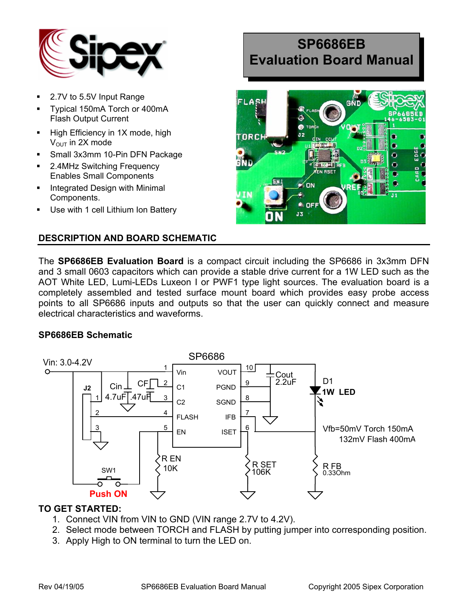

- 2.7V to 5.5V Input Range
- Typical 150mA Torch or 400mA Flash Output Current
- $\blacksquare$  High Efficiency in 1X mode, high  $V<sub>OUT</sub>$  in 2X mode
- Small 3x3mm 10-Pin DFN Package
- 2.4MHz Switching Frequency Enables Small Components
- Integrated Design with Minimal Components.
- Use with 1 cell Lithium Ion Battery

#### **DESCRIPTION AND BOARD SCHEMATIC**

# **SP6686EB Evaluation Board Manual**



The **SP6686EB Evaluation Board** is a compact circuit including the SP6686 in 3x3mm DFN and 3 small 0603 capacitors which can provide a stable drive current for a 1W LED such as the AOT White LED, Lumi-LEDs Luxeon I or PWF1 type light sources. The evaluation board is a completely assembled and tested surface mount board which provides easy probe access points to all SP6686 inputs and outputs so that the user can quickly connect and measure electrical characteristics and waveforms.

#### **SP6686EB Schematic**



#### **TO GET STARTED:**

- 1. Connect VIN from VIN to GND (VIN range 2.7V to 4.2V).
- 2. Select mode between TORCH and FLASH by putting jumper into corresponding position.
- 3. Apply High to ON terminal to turn the LED on.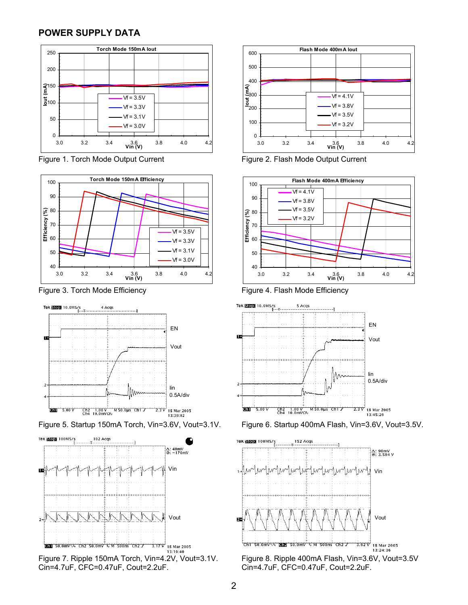#### **POWER SUPPLY DATA**



Figure 1. Torch Mode Output Current Figure 2. Flash Mode Output Current







Figure 7. Ripple 150mA Torch, Vin=4.2V, Vout=3.1V. Figure 8. Ripple 400mA Flash, Vin=3.6V, Vout=3.5V<br>Cin=4.7uF, CFC=0.47uF, Cout=2.2uF. Cout=2.2uF. Cin=4.7uF, CFC=0.47uF, Cout=2.2uF.











Cin=4.7uF, CFC=0.47uF, Cout=2.2uF. Cin=4.7uF, CFC=0.47uF, Cout=2.2uF.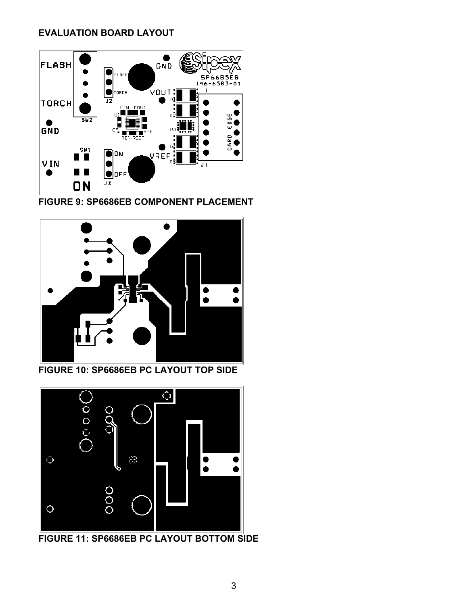## **EVALUATION BOARD LAYOUT**



**FIGURE 9: SP6686EB COMPONENT PLACEMENT** 



**FIGURE 10: SP6686EB PC LAYOUT TOP SIDE** 



**FIGURE 11: SP6686EB PC LAYOUT BOTTOM SIDE**